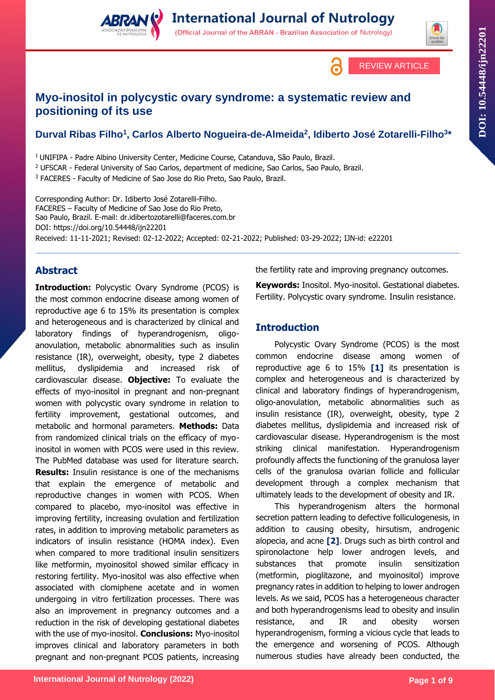

REVIEW ARTICLE

**DOI: 10.54448/ij**

**n22201**

(Official Journal of the ABRAN - Brazilian Association of Nutrology)

# **Myo-inositol in polycystic ovary syndrome: a systematic review and positioning of its use**

## **Durval Ribas Filho<sup>1</sup> , Carlos Alberto Nogueira-de-Almeida<sup>2</sup> , Idiberto José Zotarelli-Filho<sup>3</sup> \***

<sup>1</sup>UNIFIPA - Padre Albino University Center, Medicine Course, Catanduva, São Paulo, Brazil. <sup>2</sup> UFSCAR - Federal University of Sao Carlos, department of medicine, Sao Carlos, Sao Paulo, Brazil.

<sup>3</sup> FACERES - Faculty of Medicine of Sao Jose do Rio Preto, Sao Paulo, Brazil.

Corresponding Author: Dr. Idiberto José Zotarelli-Filho. FACERES – Faculty of Medicine of Sao Jose do Rio Preto, Sao Paulo, Brazil. E-mail: dr.idibertozotarelli@faceres.com.br DOI:<https://doi.org/10.54448/ijn22201> Received: 11-11-2021; Revised: 02-12-2022; Accepted: 02-21-2022; Published: 03-29-2022; IJN-id: e22201

## **Abstract**

**Introduction:** Polycystic Ovary Syndrome (PCOS) is the most common endocrine disease among women of reproductive age 6 to 15% its presentation is complex and heterogeneous and is characterized by clinical and laboratory findings of hyperandrogenism, oligoanovulation, metabolic abnormalities such as insulin resistance (IR), overweight, obesity, type 2 diabetes mellitus, dyslipidemia and increased risk of cardiovascular disease. **Objective:** To evaluate the effects of myo-inositol in pregnant and non-pregnant women with polycystic ovary syndrome in relation to fertility improvement, gestational outcomes, and metabolic and hormonal parameters. **Methods:** Data from randomized clinical trials on the efficacy of myoinositol in women with PCOS were used in this review. The PubMed database was used for literature search. **Results:** Insulin resistance is one of the mechanisms that explain the emergence of metabolic and reproductive changes in women with PCOS. When compared to placebo, myo-inositol was effective in improving fertility, increasing ovulation and fertilization rates, in addition to improving metabolic parameters as indicators of insulin resistance (HOMA index). Even when compared to more traditional insulin sensitizers like metformin, myoinositol showed similar efficacy in restoring fertility. Myo-inositol was also effective when associated with clomiphene acetate and in women undergoing in vitro fertilization processes. There was also an improvement in pregnancy outcomes and a reduction in the risk of developing gestational diabetes with the use of myo-inositol. **Conclusions:** Myo-inositol improves clinical and laboratory parameters in both pregnant and non-pregnant PCOS patients, increasing

the fertility rate and improving pregnancy outcomes.

**Keywords:** Inositol. Myo-inositol. Gestational diabetes. Fertility. Polycystic ovary syndrome. Insulin resistance.

## **Introduction**

Polycystic Ovary Syndrome (PCOS) is the most common endocrine disease among women of reproductive age 6 to 15% **[1]** its presentation is complex and heterogeneous and is characterized by clinical and laboratory findings of hyperandrogenism, oligo-anovulation, metabolic abnormalities such as insulin resistance (IR), overweight, obesity, type 2 diabetes mellitus, dyslipidemia and increased risk of cardiovascular disease. Hyperandrogenism is the most striking clinical manifestation. Hyperandrogenism profoundly affects the functioning of the granulosa layer cells of the granulosa ovarian follicle and follicular development through a complex mechanism that ultimately leads to the development of obesity and IR.

This hyperandrogenism alters the hormonal secretion pattern leading to defective folliculogenesis, in addition to causing obesity, hirsutism, androgenic alopecia, and acne **[2]**. Drugs such as birth control and spironolactone help lower androgen levels, and substances that promote insulin sensitization (metformin, pioglitazone, and myoinositol) improve pregnancy rates in addition to helping to lower androgen levels. As we said, PCOS has a heterogeneous character and both hyperandrogenisms lead to obesity and insulin resistance, and IR and obesity worsen hyperandrogenism, forming a vicious cycle that leads to the emergence and worsening of PCOS. Although numerous studies have already been conducted, the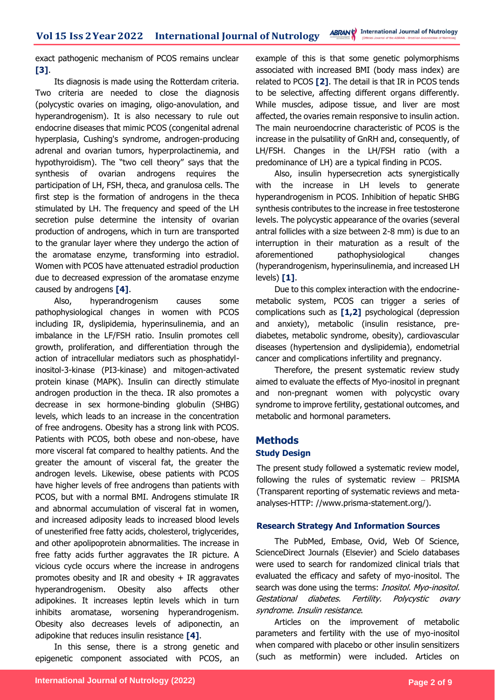exact pathogenic mechanism of PCOS remains unclear **[3]**.

Its diagnosis is made using the Rotterdam criteria. Two criteria are needed to close the diagnosis (polycystic ovaries on imaging, oligo-anovulation, and hyperandrogenism). It is also necessary to rule out endocrine diseases that mimic PCOS (congenital adrenal hyperplasia, Cushing's syndrome, androgen-producing adrenal and ovarian tumors, hyperprolactinemia, and hypothyroidism). The "two cell theory" says that the synthesis of ovarian androgens requires the participation of LH, FSH, theca, and granulosa cells. The first step is the formation of androgens in the theca stimulated by LH. The frequency and speed of the LH secretion pulse determine the intensity of ovarian production of androgens, which in turn are transported to the granular layer where they undergo the action of the aromatase enzyme, transforming into estradiol. Women with PCOS have attenuated estradiol production due to decreased expression of the aromatase enzyme caused by androgens **[4]**.

Also, hyperandrogenism causes some pathophysiological changes in women with PCOS including IR, dyslipidemia, hyperinsulinemia, and an imbalance in the LF/FSH ratio. Insulin promotes cell growth, proliferation, and differentiation through the action of intracellular mediators such as phosphatidylinositol-3-kinase (PI3-kinase) and mitogen-activated protein kinase (MAPK). Insulin can directly stimulate androgen production in the theca. IR also promotes a decrease in sex hormone-binding globulin (SHBG) levels, which leads to an increase in the concentration of free androgens. Obesity has a strong link with PCOS. Patients with PCOS, both obese and non-obese, have more visceral fat compared to healthy patients. And the greater the amount of visceral fat, the greater the androgen levels. Likewise, obese patients with PCOS have higher levels of free androgens than patients with PCOS, but with a normal BMI. Androgens stimulate IR and abnormal accumulation of visceral fat in women, and increased adiposity leads to increased blood levels of unesterified free fatty acids, cholesterol, triglycerides, and other apolipoprotein abnormalities. The increase in free fatty acids further aggravates the IR picture. A vicious cycle occurs where the increase in androgens promotes obesity and IR and obesity  $+$  IR aggravates hyperandrogenism. Obesity also affects other adipokines. It increases leptin levels which in turn inhibits aromatase, worsening hyperandrogenism. Obesity also decreases levels of adiponectin, an adipokine that reduces insulin resistance **[4]**.

In this sense, there is a strong genetic and epigenetic component associated with PCOS, an example of this is that some genetic polymorphisms associated with increased BMI (body mass index) are related to PCOS **[2]**. The detail is that IR in PCOS tends to be selective, affecting different organs differently. While muscles, adipose tissue, and liver are most affected, the ovaries remain responsive to insulin action. The main neuroendocrine characteristic of PCOS is the increase in the pulsatility of GnRH and, consequently, of LH/FSH. Changes in the LH/FSH ratio (with a predominance of LH) are a typical finding in PCOS.

Also, insulin hypersecretion acts synergistically with the increase in LH levels to generate hyperandrogenism in PCOS. Inhibition of hepatic SHBG synthesis contributes to the increase in free testosterone levels. The polycystic appearance of the ovaries (several antral follicles with a size between 2-8 mm) is due to an interruption in their maturation as a result of the aforementioned pathophysiological changes (hyperandrogenism, hyperinsulinemia, and increased LH levels) **[1]**.

Due to this complex interaction with the endocrinemetabolic system, PCOS can trigger a series of complications such as **[1,2]** psychological (depression and anxiety), metabolic (insulin resistance, prediabetes, metabolic syndrome, obesity), cardiovascular diseases (hypertension and dyslipidemia), endometrial cancer and complications infertility and pregnancy.

Therefore, the present systematic review study aimed to evaluate the effects of Myo-inositol in pregnant and non-pregnant women with polycystic ovary syndrome to improve fertility, gestational outcomes, and metabolic and hormonal parameters.

### **Methods**

### **Study Design**

The present study followed a systematic review model, following the rules of systematic review – PRISMA (Transparent reporting of systematic reviews and metaanalyses-HTTP: //www.prisma-statement.org/).

### **Research Strategy And Information Sources**

The PubMed, Embase, Ovid, Web Of Science, ScienceDirect Journals (Elsevier) and Scielo databases were used to search for randomized clinical trials that evaluated the efficacy and safety of myo-inositol. The search was done using the terms: *Inositol. Myo-inositol.* Gestational diabetes. Fertility. Polycystic ovary syndrome. Insulin resistance.

Articles on the improvement of metabolic parameters and fertility with the use of myo-inositol when compared with placebo or other insulin sensitizers (such as metformin) were included. Articles on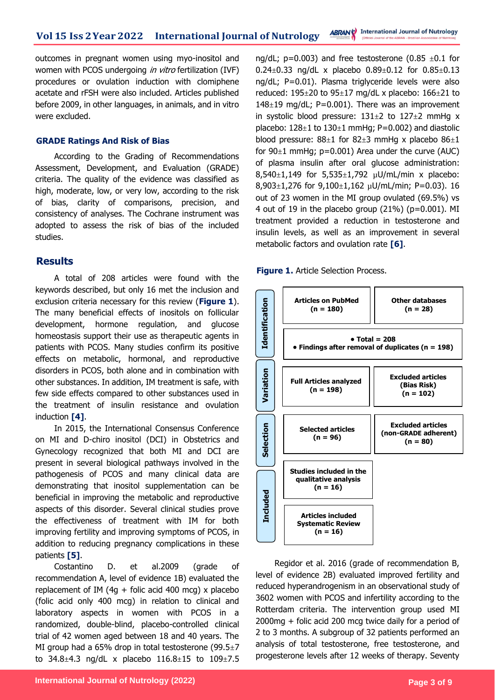outcomes in pregnant women using myo-inositol and women with PCOS undergoing *in vitro* fertilization (IVF) procedures or ovulation induction with clomiphene acetate and rFSH were also included. Articles published before 2009, in other languages, in animals, and in vitro were excluded.

#### **GRADE Ratings And Risk of Bias**

According to the Grading of Recommendations Assessment, Development, and Evaluation (GRADE) criteria. The quality of the evidence was classified as high, moderate, low, or very low, according to the risk of bias, clarity of comparisons, precision, and consistency of analyses. The Cochrane instrument was adopted to assess the risk of bias of the included studies.

### **Results**

A total of 208 articles were found with the keywords described, but only 16 met the inclusion and exclusion criteria necessary for this review (**Figure 1**). The many beneficial effects of inositols on follicular development, hormone regulation, and glucose homeostasis support their use as therapeutic agents in patients with PCOS. Many studies confirm its positive effects on metabolic, hormonal, and reproductive disorders in PCOS, both alone and in combination with other substances. In addition, IM treatment is safe, with few side effects compared to other substances used in the treatment of insulin resistance and ovulation induction **[4]**.

In 2015, the International Consensus Conference on MI and D-chiro inositol (DCI) in Obstetrics and Gynecology recognized that both MI and DCI are present in several biological pathways involved in the pathogenesis of PCOS and many clinical data are demonstrating that inositol supplementation can be beneficial in improving the metabolic and reproductive aspects of this disorder. Several clinical studies prove the effectiveness of treatment with IM for both improving fertility and improving symptoms of PCOS, in addition to reducing pregnancy complications in these patients **[5]**.

Costantino D. et al.2009 (grade of recommendation A, level of evidence 1B) evaluated the replacement of IM (4g + folic acid 400 mcg) x placebo (folic acid only 400 mcg) in relation to clinical and laboratory aspects in women with PCOS in a randomized, double-blind, placebo-controlled clinical trial of 42 women aged between 18 and 40 years. The MI group had a 65% drop in total testosterone (99.5 $\pm$ 7 to 34.8 $\pm$ 4.3 ng/dL x placebo 116.8 $\pm$ 15 to 109 $\pm$ 7.5

ng/dL;  $p=0.003$ ) and free testosterone (0.85  $\pm$ 0.1 for  $0.24 \pm 0.33$  ng/dL x placebo  $0.89 \pm 0.12$  for  $0.85 \pm 0.13$ ng/dL; P=0.01). Plasma triglyceride levels were also reduced:  $195\pm20$  to  $95\pm17$  mg/dL x placebo:  $166\pm21$  to 148 $\pm$ 19 mg/dL; P=0.001). There was an improvement in systolic blood pressure:  $131\pm2$  to  $127\pm2$  mmHg x placebo:  $128\pm1$  to  $130\pm1$  mmHg; P=0.002) and diastolic blood pressure:  $88\pm1$  for  $82\pm3$  mmHg x placebo  $86\pm1$ for  $90±1$  mmHg;  $p=0.001$ ) Area under the curve (AUC) of plasma insulin after oral glucose administration:  $8,540 \pm 1,149$  for  $5,535 \pm 1,792$   $\mu$ U/mL/min x placebo: 8,903 $\pm$ 1,276 for 9,100 $\pm$ 1,162 µU/mL/min; P=0.03). 16 out of 23 women in the MI group ovulated (69.5%) vs 4 out of 19 in the placebo group  $(21%)$  (p=0.001). MI treatment provided a reduction in testosterone and insulin levels, as well as an improvement in several metabolic factors and ovulation rate **[6]**.

#### **Figure 1.** Article Selection Process.



Regidor et al. 2016 (grade of recommendation B, level of evidence 2B) evaluated improved fertility and reduced hyperandrogenism in an observational study of 3602 women with PCOS and infertility according to the Rotterdam criteria. The intervention group used MI 2000mg + folic acid 200 mcg twice daily for a period of 2 to 3 months. A subgroup of 32 patients performed an analysis of total testosterone, free testosterone, and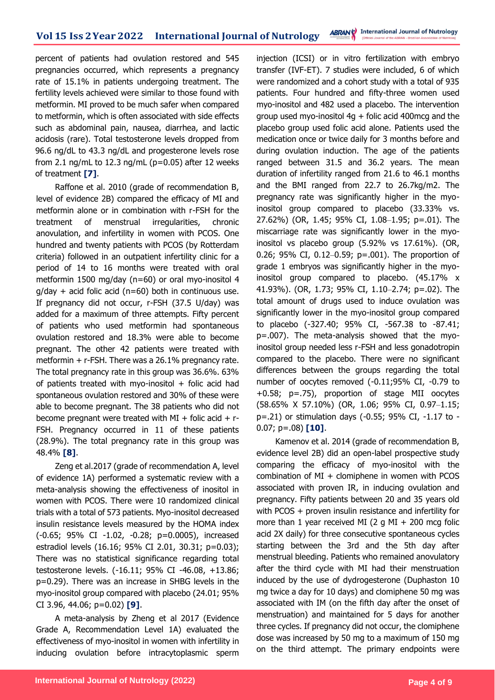percent of patients had ovulation restored and 545 pregnancies occurred, which represents a pregnancy rate of 15.1% in patients undergoing treatment. The fertility levels achieved were similar to those found with metformin. MI proved to be much safer when compared to metformin, which is often associated with side effects such as abdominal pain, nausea, diarrhea, and lactic acidosis (rare). Total testosterone levels dropped from 96.6 ng/dL to 43.3 ng/dL and progesterone levels rose from 2.1 ng/mL to 12.3 ng/mL ( $p=0.05$ ) after 12 weeks of treatment **[7]**.

Raffone et al. 2010 (grade of recommendation B, level of evidence 2B) compared the efficacy of MI and metformin alone or in combination with r-FSH for the treatment of menstrual irregularities, chronic anovulation, and infertility in women with PCOS. One hundred and twenty patients with PCOS (by Rotterdam criteria) followed in an outpatient infertility clinic for a period of 14 to 16 months were treated with oral metformin 1500 mg/day (n=60) or oral myo-inositol 4  $q$ /day + acid folic acid (n=60) both in continuous use. If pregnancy did not occur, r-FSH (37.5 U/day) was added for a maximum of three attempts. Fifty percent of patients who used metformin had spontaneous ovulation restored and 18.3% were able to become pregnant. The other 42 patients were treated with metformin + r-FSH. There was a 26.1% pregnancy rate. The total pregnancy rate in this group was 36.6%. 63% of patients treated with myo-inositol  $+$  folic acid had spontaneous ovulation restored and 30% of these were able to become pregnant. The 38 patients who did not become pregnant were treated with  $MI +$  folic acid  $+$  r-FSH. Pregnancy occurred in 11 of these patients (28.9%). The total pregnancy rate in this group was 48.4% **[8]**.

Zeng et al.2017 (grade of recommendation A, level of evidence 1A) performed a systematic review with a meta-analysis showing the effectiveness of inositol in women with PCOS. There were 10 randomized clinical trials with a total of 573 patients. Myo-inositol decreased insulin resistance levels measured by the HOMA index (-0.65; 95% CI -1.02, -0.28; p=0.0005), increased estradiol levels (16.16; 95% CI 2.01, 30.31; p=0.03); There was no statistical significance regarding total testosterone levels. (-16.11; 95% CI -46.08, +13.86; p=0.29). There was an increase in SHBG levels in the myo-inositol group compared with placebo (24.01; 95% CI 3.96, 44.06; p=0.02) **[9]**.

A meta-analysis by Zheng et al 2017 (Evidence Grade A, Recommendation Level 1A) evaluated the effectiveness of myo-inositol in women with infertility in inducing ovulation before intracytoplasmic sperm injection (ICSI) or in vitro fertilization with embryo transfer (IVF-ET). 7 studies were included, 6 of which were randomized and a cohort study with a total of 935 patients. Four hundred and fifty-three women used myo-inositol and 482 used a placebo. The intervention group used myo-inositol  $4q +$  folic acid 400 mcg and the placebo group used folic acid alone. Patients used the medication once or twice daily for 3 months before and during ovulation induction. The age of the patients ranged between 31.5 and 36.2 years. The mean duration of infertility ranged from 21.6 to 46.1 months and the BMI ranged from 22.7 to 26.7kg/m2. The pregnancy rate was significantly higher in the myoinositol group compared to placebo (33.33% vs. 27.62%) (OR, 1.45; 95% CI, 1.08–1.95; p=.01). The miscarriage rate was significantly lower in the myoinositol vs placebo group (5.92% vs 17.61%). (OR, 0.26; 95% CI, 0.12–0.59; p=.001). The proportion of grade 1 embryos was significantly higher in the myoinositol group compared to placebo. (45.17% x 41.93%). (OR, 1.73; 95% CI, 1.10–2.74; p=.02). The total amount of drugs used to induce ovulation was significantly lower in the myo-inositol group compared to placebo (-327.40; 95% CI, -567.38 to -87.41; p=.007). The meta-analysis showed that the myoinositol group needed less r-FSH and less gonadotropin compared to the placebo. There were no significant differences between the groups regarding the total number of oocytes removed (-0.11;95% CI, -0.79 to +0.58; p=.75), proportion of stage MII oocytes (58.65% X 57.10%) (OR, 1.06; 95% CI, 0.97–1.15; p=.21) or stimulation days (-0.55; 95% CI, -1.17 to - 0.07; p=.08) **[10]**.

Kamenov et al. 2014 (grade of recommendation B, evidence level 2B) did an open-label prospective study comparing the efficacy of myo-inositol with the combination of  $MI +$  clomiphene in women with PCOS associated with proven IR, in inducing ovulation and pregnancy. Fifty patients between 20 and 35 years old with PCOS + proven insulin resistance and infertility for more than 1 year received MI (2 g MI  $+$  200 mcg folic acid 2X daily) for three consecutive spontaneous cycles starting between the 3rd and the 5th day after menstrual bleeding. Patients who remained anovulatory after the third cycle with MI had their menstruation induced by the use of dydrogesterone (Duphaston 10 mg twice a day for 10 days) and clomiphene 50 mg was associated with IM (on the fifth day after the onset of menstruation) and maintained for 5 days for another three cycles. If pregnancy did not occur, the clomiphene dose was increased by 50 mg to a maximum of 150 mg on the third attempt. The primary endpoints were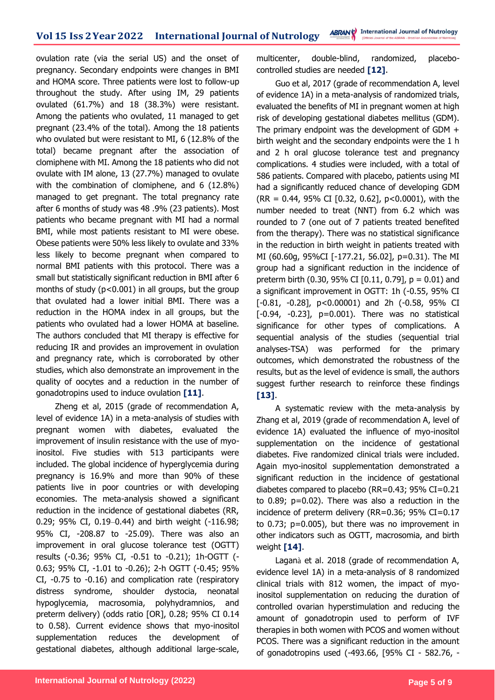ovulation rate (via the serial US) and the onset of pregnancy. Secondary endpoints were changes in BMI and HOMA score. Three patients were lost to follow-up throughout the study. After using IM, 29 patients ovulated (61.7%) and 18 (38.3%) were resistant. Among the patients who ovulated, 11 managed to get pregnant (23.4% of the total). Among the 18 patients who ovulated but were resistant to MI, 6 (12.8% of the total) became pregnant after the association of clomiphene with MI. Among the 18 patients who did not ovulate with IM alone, 13 (27.7%) managed to ovulate with the combination of clomiphene, and 6 (12.8%) managed to get pregnant. The total pregnancy rate after 6 months of study was 48 .9% (23 patients). Most patients who became pregnant with MI had a normal BMI, while most patients resistant to MI were obese. Obese patients were 50% less likely to ovulate and 33% less likely to become pregnant when compared to normal BMI patients with this protocol. There was a small but statistically significant reduction in BMI after 6 months of study  $(p<0.001)$  in all groups, but the group that ovulated had a lower initial BMI. There was a reduction in the HOMA index in all groups, but the patients who ovulated had a lower HOMA at baseline. The authors concluded that MI therapy is effective for reducing IR and provides an improvement in ovulation and pregnancy rate, which is corroborated by other studies, which also demonstrate an improvement in the quality of oocytes and a reduction in the number of gonadotropins used to induce ovulation **[11]**.

Zheng et al, 2015 (grade of recommendation A, level of evidence 1A) in a meta-analysis of studies with pregnant women with diabetes, evaluated the improvement of insulin resistance with the use of myoinositol. Five studies with 513 participants were included. The global incidence of hyperglycemia during pregnancy is 16.9% and more than 90% of these patients live in poor countries or with developing economies. The meta-analysis showed a significant reduction in the incidence of gestational diabetes (RR, 0.29; 95% CI, 0.19–0.44) and birth weight (-116.98; 95% CI, -208.87 to -25.09). There was also an improvement in oral glucose tolerance test (OGTT) results (-0.36; 95% CI, -0.51 to -0.21); 1h-OGTT (- 0.63; 95% CI, -1.01 to -0.26); 2-h OGTT (-0.45; 95% CI, -0.75 to -0.16) and complication rate (respiratory distress syndrome, shoulder dystocia, neonatal hypoglycemia, macrosomia, polyhydramnios, and preterm delivery) (odds ratio [OR], 0.28; 95% CI 0.14 to 0.58). Current evidence shows that myo-inositol supplementation reduces the development of gestational diabetes, although additional large-scale,

multicenter, double-blind, randomized, placebocontrolled studies are needed **[12]**.

Guo et al, 2017 (grade of recommendation A, level of evidence 1A) in a meta-analysis of randomized trials, evaluated the benefits of MI in pregnant women at high risk of developing gestational diabetes mellitus (GDM). The primary endpoint was the development of GDM + birth weight and the secondary endpoints were the 1 h and 2 h oral glucose tolerance test and pregnancy complications. 4 studies were included, with a total of 586 patients. Compared with placebo, patients using MI had a significantly reduced chance of developing GDM (RR = 0.44, 95% CI [0.32, 0.62], p<0.0001), with the number needed to treat (NNT) from 6.2 which was rounded to 7 (one out of 7 patients treated benefited from the therapy). There was no statistical significance in the reduction in birth weight in patients treated with MI (60.60g, 95%CI [-177.21, 56.02], p=0.31). The MI group had a significant reduction in the incidence of preterm birth (0.30, 95% CI [0.11, 0.79],  $p = 0.01$ ) and a significant improvement in OGTT: 1h (-0.55, 95% CI [-0.81, -0.28], p<0.00001) and 2h (-0.58, 95% CI  $[-0.94, -0.23]$ ,  $p=0.001$ ). There was no statistical significance for other types of complications. A sequential analysis of the studies (sequential trial analyses-TSA) was performed for the primary outcomes, which demonstrated the robustness of the results, but as the level of evidence is small, the authors suggest further research to reinforce these findings **[13]**.

A systematic review with the meta-analysis by Zhang et al, 2019 (grade of recommendation A, level of evidence 1A) evaluated the influence of myo-inositol supplementation on the incidence of gestational diabetes. Five randomized clinical trials were included. Again myo-inositol supplementation demonstrated a significant reduction in the incidence of gestational diabetes compared to placebo (RR=0.43; 95% CI=0.21 to 0.89; p=0.02). There was also a reduction in the incidence of preterm delivery (RR=0.36; 95% CI=0.17 to 0.73; p=0.005), but there was no improvement in other indicators such as OGTT, macrosomia, and birth weight **[14]**.

Laganà et al. 2018 (grade of recommendation A, evidence level 1A) in a meta-analysis of 8 randomized clinical trials with 812 women, the impact of myoinositol supplementation on reducing the duration of controlled ovarian hyperstimulation and reducing the amount of gonadotropin used to perform of IVF therapies in both women with PCOS and women without PCOS. There was a significant reduction in the amount of gonadotropins used (-493.66, [95% CI - 582.76, -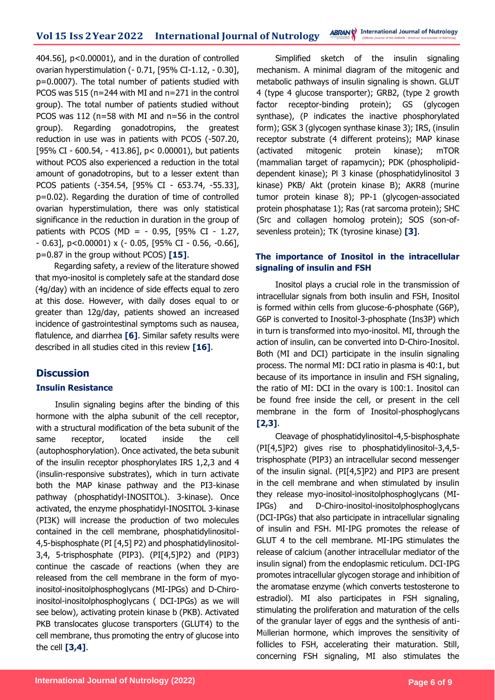404.56], p<0.00001), and in the duration of controlled ovarian hyperstimulation (- 0.71, [95% CI-1.12, - 0.30], p=0.0007). The total number of patients studied with PCOS was 515 (n=244 with MI and n=271 in the control group). The total number of patients studied without PCOS was 112 (n=58 with MI and n=56 in the control group). Regarding gonadotropins, the greatest reduction in use was in patients with PCOS (-507.20, [95% CI - 600.54, - 413.86], p< 0.00001), but patients without PCOS also experienced a reduction in the total amount of gonadotropins, but to a lesser extent than PCOS patients (-354.54, [95% CI - 653.74, -55.33], p=0.02). Regarding the duration of time of controlled ovarian hyperstimulation, there was only statistical significance in the reduction in duration in the group of patients with PCOS (MD = - 0.95, [95% CI - 1.27, - 0.63], p<0.00001) x (- 0.05, [95% CI - 0.56, -0.66], p=0.87 in the group without PCOS) **[15]**.

Regarding safety, a review of the literature showed that myo-inositol is completely safe at the standard dose (4g/day) with an incidence of side effects equal to zero at this dose. However, with daily doses equal to or greater than 12g/day, patients showed an increased incidence of gastrointestinal symptoms such as nausea, flatulence, and diarrhea **[6]**. Similar safety results were described in all studies cited in this review **[16]**.

### **Discussion**

### **Insulin Resistance**

Insulin signaling begins after the binding of this hormone with the alpha subunit of the cell receptor, with a structural modification of the beta subunit of the same receptor, located inside the cell (autophosphorylation). Once activated, the beta subunit of the insulin receptor phosphorylates IRS 1,2,3 and 4 (insulin-responsive substrates), which in turn activate both the MAP kinase pathway and the PI3-kinase pathway (phosphatidyl-INOSITOL). 3-kinase). Once activated, the enzyme phosphatidyl-INOSITOL 3-kinase (PI3K) will increase the production of two molecules contained in the cell membrane, phosphatidylinositol-4,5-bisphosphate (PI [4,5] P2) and phosphatidylinositol-3,4, 5-trisphosphate (PIP3). (PI[4,5]P2) and (PIP3) continue the cascade of reactions (when they are released from the cell membrane in the form of myoinositol-inositolphosphoglycans (MI-IPGs) and D-Chiroinositol-inositolphosphoglycans ( DCI-IPGs) as we will see below), activating protein kinase b (PKB). Activated PKB translocates glucose transporters (GLUT4) to the cell membrane, thus promoting the entry of glucose into the cell **[3,4]**.

Simplified sketch of the insulin signaling mechanism. A minimal diagram of the mitogenic and metabolic pathways of insulin signaling is shown. GLUT 4 (type 4 glucose transporter); GRB2, (type 2 growth factor receptor-binding protein); GS (glycogen synthase), (P indicates the inactive phosphorylated form); GSK 3 (glycogen synthase kinase 3); IRS, (insulin receptor substrate (4 different proteins); MAP kinase (activated mitogenic protein kinase); mTOR (mammalian target of rapamycin); PDK (phospholipiddependent kinase); Pl 3 kinase (phosphatidylinositol 3 kinase) PKB/ Akt (protein kinase B); AKR8 (murine tumor protein kinase 8); PP-1 (glycogen-associated protein phosphatase 1); Ras (rat sarcoma protein); SHC (Src and collagen homolog protein); SOS (son-ofsevenless protein); TK (tyrosine kinase) **[3]**.

### **The importance of Inositol in the intracellular signaling of insulin and FSH**

Inositol plays a crucial role in the transmission of intracellular signals from both insulin and FSH, Inositol is formed within cells from glucose-6-phosphate (G6P), G6P is converted to Inositol-3-phosphate (Ins3P) which in turn is transformed into myo-inositol. MI, through the action of insulin, can be converted into D-Chiro-Inositol. Both (MI and DCI) participate in the insulin signaling process. The normal MI: DCI ratio in plasma is 40:1, but because of its importance in insulin and FSH signaling, the ratio of MI: DCI in the ovary is 100:1. Inositol can be found free inside the cell, or present in the cell membrane in the form of Inositol-phosphoglycans **[2,3]**.

Cleavage of phosphatidylinositol-4,5-bisphosphate (PI[4,5]P2) gives rise to phosphatidylinositol-3,4,5 trisphosphate (PIP3) an intracellular second messenger of the insulin signal. (PI[4,5]P2) and PIP3 are present in the cell membrane and when stimulated by insulin they release myo-inositol-inositolphosphoglycans (MI-IPGs) and D-Chiro-inositol-inositolphosphoglycans (DCI-IPGs) that also participate in intracellular signaling of insulin and FSH. MI-IPG promotes the release of GLUT 4 to the cell membrane. MI-IPG stimulates the release of calcium (another intracellular mediator of the insulin signal) from the endoplasmic reticulum. DCI-IPG promotes intracellular glycogen storage and inhibition of the aromatase enzyme (which converts testosterone to estradiol). MI also participates in FSH signaling, stimulating the proliferation and maturation of the cells of the granular layer of eggs and the synthesis of anti-Müllerian hormone, which improves the sensitivity of follicles to FSH, accelerating their maturation. Still, concerning FSH signaling, MI also stimulates the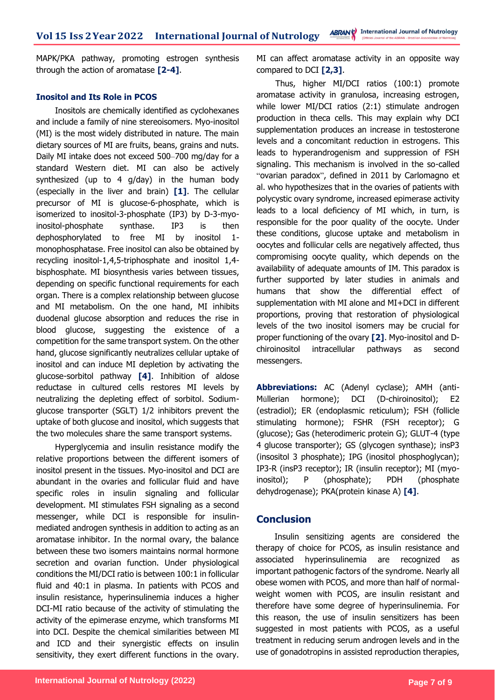MAPK/PKA pathway, promoting estrogen synthesis through the action of aromatase **[2-4]**.

### **Inositol and Its Role in PCOS**

Inositols are chemically identified as cyclohexanes and include a family of nine stereoisomers. Myo-inositol (MI) is the most widely distributed in nature. The main dietary sources of MI are fruits, beans, grains and nuts. Daily MI intake does not exceed 500–700 mg/day for a standard Western diet. MI can also be actively synthesized (up to 4 g/day) in the human body (especially in the liver and brain) **[1]**. The cellular precursor of MI is glucose-6-phosphate, which is isomerized to inositol-3-phosphate (IP3) by D-3-myoinositol-phosphate synthase. IP3 is then dephosphorylated to free MI by inositol 1 monophosphatase. Free inositol can also be obtained by recycling inositol-1,4,5-triphosphate and inositol 1,4 bisphosphate. MI biosynthesis varies between tissues, depending on specific functional requirements for each organ. There is a complex relationship between glucose and MI metabolism. On the one hand, MI inhibits duodenal glucose absorption and reduces the rise in blood glucose, suggesting the existence of a competition for the same transport system. On the other hand, glucose significantly neutralizes cellular uptake of inositol and can induce MI depletion by activating the glucose-sorbitol pathway **[4]**. Inhibition of aldose reductase in cultured cells restores MI levels by neutralizing the depleting effect of sorbitol. Sodiumglucose transporter (SGLT) 1/2 inhibitors prevent the uptake of both glucose and inositol, which suggests that the two molecules share the same transport systems.

Hyperglycemia and insulin resistance modify the relative proportions between the different isomers of inositol present in the tissues. Myo-inositol and DCI are abundant in the ovaries and follicular fluid and have specific roles in insulin signaling and follicular development. MI stimulates FSH signaling as a second messenger, while DCI is responsible for insulinmediated androgen synthesis in addition to acting as an aromatase inhibitor. In the normal ovary, the balance between these two isomers maintains normal hormone secretion and ovarian function. Under physiological conditions the MI/DCI ratio is between 100:1 in follicular fluid and 40:1 in plasma. In patients with PCOS and insulin resistance, hyperinsulinemia induces a higher DCI-MI ratio because of the activity of stimulating the activity of the epimerase enzyme, which transforms MI into DCI. Despite the chemical similarities between MI and ICD and their synergistic effects on insulin sensitivity, they exert different functions in the ovary.

MI can affect aromatase activity in an opposite way compared to DCI **[2,3]**.

Thus, higher MI/DCI ratios (100:1) promote aromatase activity in granulosa, increasing estrogen, while lower MI/DCI ratios (2:1) stimulate androgen production in theca cells. This may explain why DCI supplementation produces an increase in testosterone levels and a concomitant reduction in estrogens. This leads to hyperandrogenism and suppression of FSH signaling. This mechanism is involved in the so-called "ovarian paradox", defined in 2011 by Carlomagno et al. who hypothesizes that in the ovaries of patients with polycystic ovary syndrome, increased epimerase activity leads to a local deficiency of MI which, in turn, is responsible for the poor quality of the oocyte. Under these conditions, glucose uptake and metabolism in oocytes and follicular cells are negatively affected, thus compromising oocyte quality, which depends on the availability of adequate amounts of IM. This paradox is further supported by later studies in animals and humans that show the differential effect of supplementation with MI alone and MI+DCI in different proportions, proving that restoration of physiological levels of the two inositol isomers may be crucial for proper functioning of the ovary **[2]**. Myo-inositol and Dchiroinositol intracellular pathways as second messengers.

**Abbreviations:** AC (Adenyl cyclase); AMH (anti-Müllerian hormone); DCI (D-chiroinositol); E2 (estradiol); ER (endoplasmic reticulum); FSH (follicle stimulating hormone); FSHR (FSH receptor); G (glucose); Gas (heterodimeric protein G); GLUT-4 (type 4 glucose transporter); GS (glycogen synthase); insP3 (insositol 3 phosphate); IPG (inositol phosphoglycan); IP3-R (insP3 receptor); IR (insulin receptor); MI (myoinositol); P (phosphate); PDH (phosphate dehydrogenase); PKA(protein kinase A) **[4]**.

### **Conclusion**

Insulin sensitizing agents are considered the therapy of choice for PCOS, as insulin resistance and associated hyperinsulinemia are recognized as important pathogenic factors of the syndrome. Nearly all obese women with PCOS, and more than half of normalweight women with PCOS, are insulin resistant and therefore have some degree of hyperinsulinemia. For this reason, the use of insulin sensitizers has been suggested in most patients with PCOS, as a useful treatment in reducing serum androgen levels and in the use of gonadotropins in assisted reproduction therapies,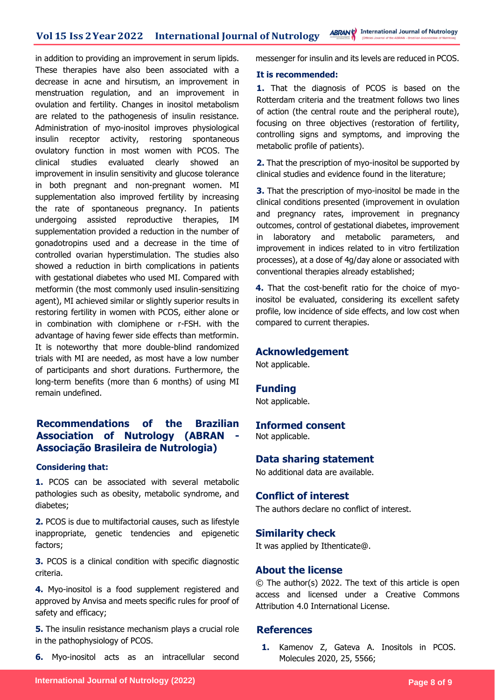in addition to providing an improvement in serum lipids. These therapies have also been associated with a decrease in acne and hirsutism, an improvement in menstruation regulation, and an improvement in ovulation and fertility. Changes in inositol metabolism are related to the pathogenesis of insulin resistance. Administration of myo-inositol improves physiological insulin receptor activity, restoring spontaneous ovulatory function in most women with PCOS. The clinical studies evaluated clearly showed an improvement in insulin sensitivity and glucose tolerance in both pregnant and non-pregnant women. MI supplementation also improved fertility by increasing the rate of spontaneous pregnancy. In patients undergoing assisted reproductive therapies, IM supplementation provided a reduction in the number of gonadotropins used and a decrease in the time of controlled ovarian hyperstimulation. The studies also showed a reduction in birth complications in patients with gestational diabetes who used MI. Compared with metformin (the most commonly used insulin-sensitizing agent), MI achieved similar or slightly superior results in restoring fertility in women with PCOS, either alone or in combination with clomiphene or r-FSH. with the advantage of having fewer side effects than metformin. It is noteworthy that more double-blind randomized trials with MI are needed, as most have a low number of participants and short durations. Furthermore, the long-term benefits (more than 6 months) of using MI remain undefined.

### **Recommendations of the Brazilian Association of Nutrology (ABRAN Associação Brasileira de Nutrologia)**

### **Considering that:**

**1.** PCOS can be associated with several metabolic pathologies such as obesity, metabolic syndrome, and diabetes;

**2.** PCOS is due to multifactorial causes, such as lifestyle inappropriate, genetic tendencies and epigenetic factors;

**3.** PCOS is a clinical condition with specific diagnostic criteria.

**4.** Myo-inositol is a food supplement registered and approved by Anvisa and meets specific rules for proof of safety and efficacy;

**5.** The insulin resistance mechanism plays a crucial role in the pathophysiology of PCOS.

**6.** Myo-inositol acts as an intracellular second

messenger for insulin and its levels are reduced in PCOS.

#### **It is recommended:**

**1.** That the diagnosis of PCOS is based on the Rotterdam criteria and the treatment follows two lines of action (the central route and the peripheral route), focusing on three objectives (restoration of fertility, controlling signs and symptoms, and improving the metabolic profile of patients).

**2.** That the prescription of myo-inositol be supported by clinical studies and evidence found in the literature;

**3.** That the prescription of myo-inositol be made in the clinical conditions presented (improvement in ovulation and pregnancy rates, improvement in pregnancy outcomes, control of gestational diabetes, improvement in laboratory and metabolic parameters, and improvement in indices related to in vitro fertilization processes), at a dose of 4g/day alone or associated with conventional therapies already established;

**4.** That the cost-benefit ratio for the choice of myoinositol be evaluated, considering its excellent safety profile, low incidence of side effects, and low cost when compared to current therapies.

### **Acknowledgement**

Not applicable.

### **Funding**

Not applicable.

### **Informed consent**

Not applicable.

### **Data sharing statement**

No additional data are available.

### **Conflict of interest**

The authors declare no conflict of interest.

### **Similarity check**

It was applied by Ithenticate@.

### **About the license**

© The author(s) 2022. The text of this article is open access and licensed under a Creative Commons Attribution 4.0 International License.

### **References**

**1.** Kamenov Z, Gateva A. Inositols in PCOS. Molecules 2020, 25, 5566;